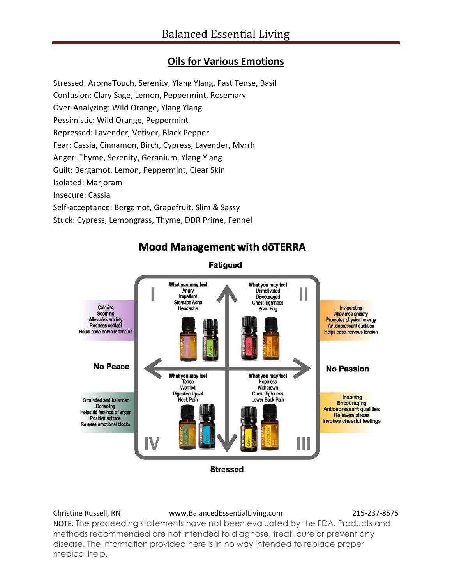# **Oils for Various Emotions**

Stressed: AromaTouch, Serenity, Ylang Ylang, Past Tense, Basil

Confusion: Clary Sage, Lemon, Peppermint, Rosemary

Over-Analyzing: Wild Orange, Ylang Ylang

Pessimistic: Wild Orange, Peppermint

Repressed: Lavender, Vetiver, Black Pepper

Fear: Cassia, Cinnamon, Birch, Cypress, Lavender, Myrrh

Anger: Thyme, Serenity, Geranium, Ylang Ylang

Guilt: Bergamot, Lemon, Peppermint, Clear Skin

Isolated: Marjoram

Insecure: Cassia

Self-acceptance: Bergamot, Grapefruit, Slim & Sassy

Stuck: Cypress, Lemongrass, Thyme, DDR Prime, Fennel



# **Mood Management with döTERRA**

Christine Russell, RN www.BalancedEssentialLiving.com 215-237-8575

NOTE: The proceeding statements have not been evaluated by the FDA. Products and methods recommended are not intended to diagnose, treat, cure or prevent any disease. The information provided here is in no way intended to replace proper medical help.